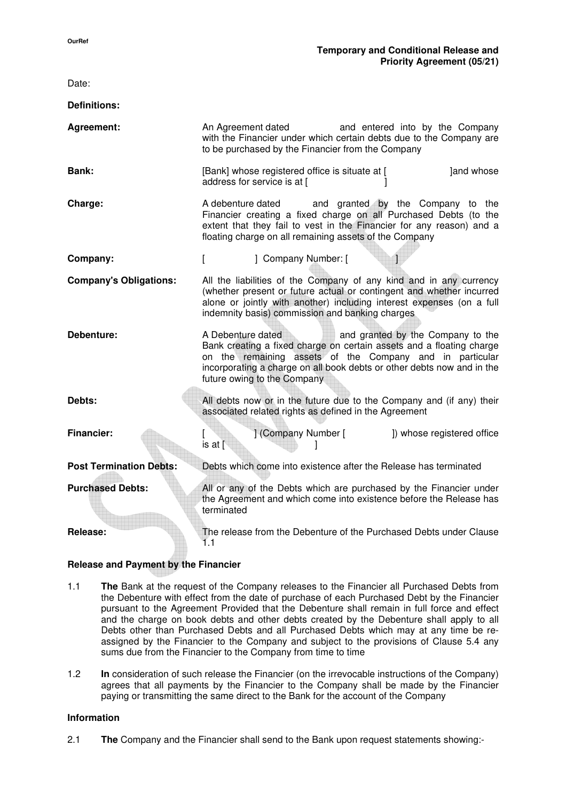| Date:                          |                                                                                                                                                                                                                                                                                                     |
|--------------------------------|-----------------------------------------------------------------------------------------------------------------------------------------------------------------------------------------------------------------------------------------------------------------------------------------------------|
| <b>Definitions:</b>            |                                                                                                                                                                                                                                                                                                     |
| Agreement:                     | An Agreement dated<br>and entered into by the Company<br>with the Financier under which certain debts due to the Company are<br>to be purchased by the Financier from the Company                                                                                                                   |
| Bank:                          | [Bank] whose registered office is situate at [<br>Jand whose<br>address for service is at [                                                                                                                                                                                                         |
| Charge:                        | and granted by the Company to the<br>A debenture dated<br>Financier creating a fixed charge on all Purchased Debts (to the<br>extent that they fail to vest in the Financier for any reason) and a<br>floating charge on all remaining assets of the Company                                        |
| Company:                       | ] Company Number: [<br>L                                                                                                                                                                                                                                                                            |
| <b>Company's Obligations:</b>  | All the liabilities of the Company of any kind and in any currency<br>(whether present or future actual or contingent and whether incurred<br>alone or jointly with another) including interest expenses (on a full<br>indemnity basis) commission and banking charges                              |
| Debenture:                     | A Debenture dated<br>and granted by the Company to the<br>Bank creating a fixed charge on certain assets and a floating charge<br>on the remaining assets of the Company and in particular<br>incorporating a charge on all book debts or other debts now and in the<br>future owing to the Company |
| Debts:                         | All debts now or in the future due to the Company and (if any) their<br>associated related rights as defined in the Agreement                                                                                                                                                                       |
| <b>Financier:</b>              | ] (Company Number [<br>]) whose registered office<br>is at $[$                                                                                                                                                                                                                                      |
| <b>Post Termination Debts:</b> | Debts which come into existence after the Release has terminated                                                                                                                                                                                                                                    |
| <b>Purchased Debts:</b>        | All or any of the Debts which are purchased by the Financier under<br>the Agreement and which come into existence before the Release has<br>terminated                                                                                                                                              |
| Release:                       | The release from the Debenture of the Purchased Debts under Clause<br>1.1                                                                                                                                                                                                                           |

# **Release and Payment by the Financier**

- 1.1 **The** Bank at the request of the Company releases to the Financier all Purchased Debts from the Debenture with effect from the date of purchase of each Purchased Debt by the Financier pursuant to the Agreement Provided that the Debenture shall remain in full force and effect and the charge on book debts and other debts created by the Debenture shall apply to all Debts other than Purchased Debts and all Purchased Debts which may at any time be reassigned by the Financier to the Company and subject to the provisions of Clause 5.4 any sums due from the Financier to the Company from time to time
- 1.2 **In** consideration of such release the Financier (on the irrevocable instructions of the Company) agrees that all payments by the Financier to the Company shall be made by the Financier paying or transmitting the same direct to the Bank for the account of the Company

#### **Information**

2.1 **The** Company and the Financier shall send to the Bank upon request statements showing:-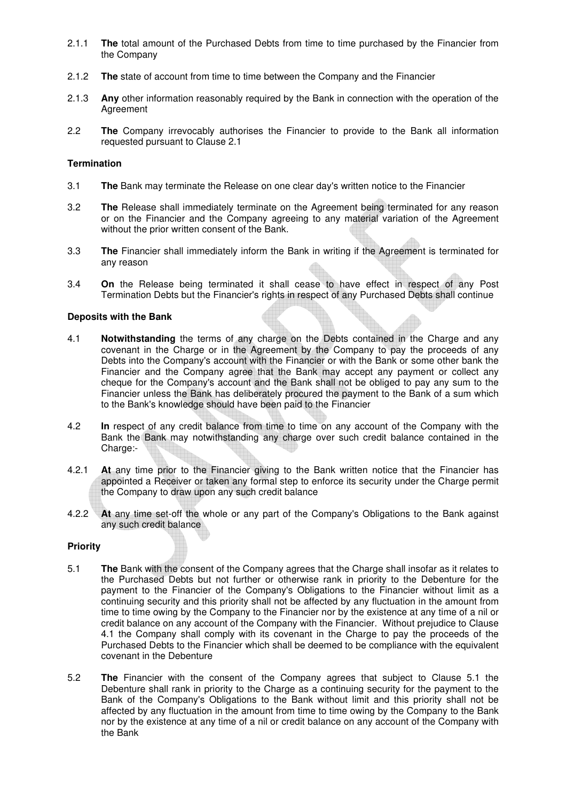- 2.1.1 **The** total amount of the Purchased Debts from time to time purchased by the Financier from the Company
- 2.1.2 **The** state of account from time to time between the Company and the Financier
- 2.1.3 **Any** other information reasonably required by the Bank in connection with the operation of the Agreement
- 2.2 **The** Company irrevocably authorises the Financier to provide to the Bank all information requested pursuant to Clause 2.1

### **Termination**

- 3.1 **The** Bank may terminate the Release on one clear day's written notice to the Financier
- 3.2 **The** Release shall immediately terminate on the Agreement being terminated for any reason or on the Financier and the Company agreeing to any material variation of the Agreement without the prior written consent of the Bank.
- 3.3 **The** Financier shall immediately inform the Bank in writing if the Agreement is terminated for any reason
- 3.4 **On** the Release being terminated it shall cease to have effect in respect of any Post Termination Debts but the Financier's rights in respect of any Purchased Debts shall continue

#### **Deposits with the Bank**

- 4.1 **Notwithstanding** the terms of any charge on the Debts contained in the Charge and any covenant in the Charge or in the Agreement by the Company to pay the proceeds of any Debts into the Company's account with the Financier or with the Bank or some other bank the Financier and the Company agree that the Bank may accept any payment or collect any cheque for the Company's account and the Bank shall not be obliged to pay any sum to the Financier unless the Bank has deliberately procured the payment to the Bank of a sum which to the Bank's knowledge should have been paid to the Financier
- 4.2 **In** respect of any credit balance from time to time on any account of the Company with the Bank the Bank may notwithstanding any charge over such credit balance contained in the Charge:-
- 4.2.1 **At** any time prior to the Financier giving to the Bank written notice that the Financier has appointed a Receiver or taken any formal step to enforce its security under the Charge permit the Company to draw upon any such credit balance
- 4.2.2 **At** any time set-off the whole or any part of the Company's Obligations to the Bank against any such credit balance

### **Priority**

- 5.1 **The** Bank with the consent of the Company agrees that the Charge shall insofar as it relates to the Purchased Debts but not further or otherwise rank in priority to the Debenture for the payment to the Financier of the Company's Obligations to the Financier without limit as a continuing security and this priority shall not be affected by any fluctuation in the amount from time to time owing by the Company to the Financier nor by the existence at any time of a nil or credit balance on any account of the Company with the Financier. Without prejudice to Clause 4.1 the Company shall comply with its covenant in the Charge to pay the proceeds of the Purchased Debts to the Financier which shall be deemed to be compliance with the equivalent covenant in the Debenture
- 5.2 **The** Financier with the consent of the Company agrees that subject to Clause 5.1 the Debenture shall rank in priority to the Charge as a continuing security for the payment to the Bank of the Company's Obligations to the Bank without limit and this priority shall not be affected by any fluctuation in the amount from time to time owing by the Company to the Bank nor by the existence at any time of a nil or credit balance on any account of the Company with the Bank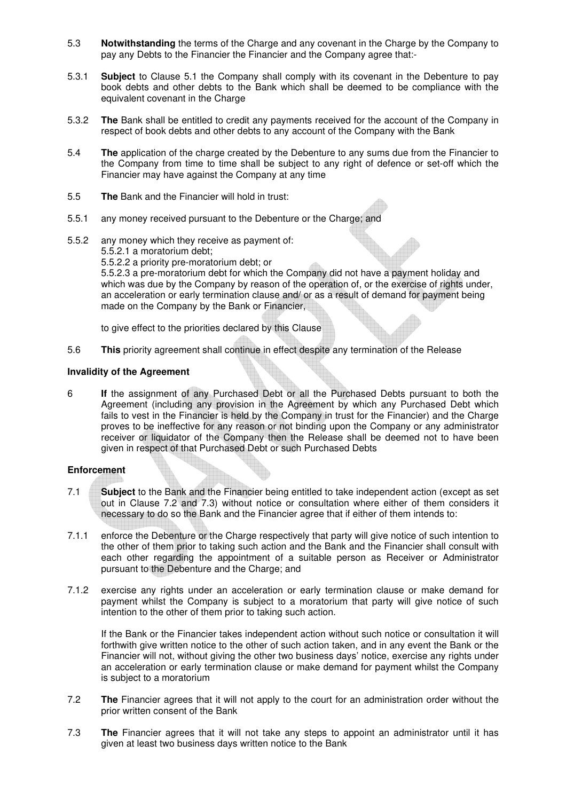- 5.3 **Notwithstanding** the terms of the Charge and any covenant in the Charge by the Company to pay any Debts to the Financier the Financier and the Company agree that:-
- 5.3.1 **Subject** to Clause 5.1 the Company shall comply with its covenant in the Debenture to pay book debts and other debts to the Bank which shall be deemed to be compliance with the equivalent covenant in the Charge
- 5.3.2 **The** Bank shall be entitled to credit any payments received for the account of the Company in respect of book debts and other debts to any account of the Company with the Bank
- 5.4 **The** application of the charge created by the Debenture to any sums due from the Financier to the Company from time to time shall be subject to any right of defence or set-off which the Financier may have against the Company at any time
- 5.5 **The** Bank and the Financier will hold in trust:
- 5.5.1 any money received pursuant to the Debenture or the Charge; and
- 5.5.2 any money which they receive as payment of: 5.5.2.1 a moratorium debt; 5.5.2.2 a priority pre-moratorium debt; or 5.5.2.3 a pre-moratorium debt for which the Company did not have a payment holiday and which was due by the Company by reason of the operation of, or the exercise of rights under, an acceleration or early termination clause and/ or as a result of demand for payment being made on the Company by the Bank or Financier,

to give effect to the priorities declared by this Clause

5.6 **This** priority agreement shall continue in effect despite any termination of the Release

## **Invalidity of the Agreement**

6 **If** the assignment of any Purchased Debt or all the Purchased Debts pursuant to both the Agreement (including any provision in the Agreement by which any Purchased Debt which fails to vest in the Financier is held by the Company in trust for the Financier) and the Charge proves to be ineffective for any reason or not binding upon the Company or any administrator receiver or liquidator of the Company then the Release shall be deemed not to have been given in respect of that Purchased Debt or such Purchased Debts

# **Enforcement**

- 7.1 **Subject** to the Bank and the Financier being entitled to take independent action (except as set out in Clause 7.2 and 7.3) without notice or consultation where either of them considers it necessary to do so the Bank and the Financier agree that if either of them intends to:
- 7.1.1 enforce the Debenture or the Charge respectively that party will give notice of such intention to the other of them prior to taking such action and the Bank and the Financier shall consult with each other regarding the appointment of a suitable person as Receiver or Administrator pursuant to the Debenture and the Charge; and
- 7.1.2 exercise any rights under an acceleration or early termination clause or make demand for payment whilst the Company is subject to a moratorium that party will give notice of such intention to the other of them prior to taking such action.

 If the Bank or the Financier takes independent action without such notice or consultation it will forthwith give written notice to the other of such action taken, and in any event the Bank or the Financier will not, without giving the other two business days' notice, exercise any rights under an acceleration or early termination clause or make demand for payment whilst the Company is subject to a moratorium

- 7.2 **The** Financier agrees that it will not apply to the court for an administration order without the prior written consent of the Bank
- 7.3 **The** Financier agrees that it will not take any steps to appoint an administrator until it has given at least two business days written notice to the Bank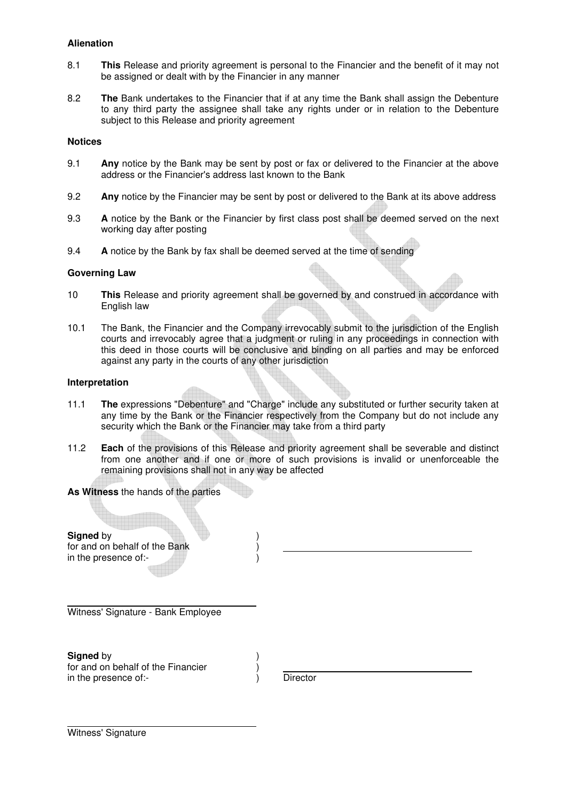# **Alienation**

- 8.1 **This** Release and priority agreement is personal to the Financier and the benefit of it may not be assigned or dealt with by the Financier in any manner
- 8.2 **The** Bank undertakes to the Financier that if at any time the Bank shall assign the Debenture to any third party the assignee shall take any rights under or in relation to the Debenture subject to this Release and priority agreement

# **Notices**

- 9.1 **Any** notice by the Bank may be sent by post or fax or delivered to the Financier at the above address or the Financier's address last known to the Bank
- 9.2 **Any** notice by the Financier may be sent by post or delivered to the Bank at its above address
- 9.3 **A** notice by the Bank or the Financier by first class post shall be deemed served on the next working day after posting
- 9.4 **A** notice by the Bank by fax shall be deemed served at the time of sending

## **Governing Law**

- 10 **This** Release and priority agreement shall be governed by and construed in accordance with English law
- 10.1 The Bank, the Financier and the Company irrevocably submit to the jurisdiction of the English courts and irrevocably agree that a judgment or ruling in any proceedings in connection with this deed in those courts will be conclusive and binding on all parties and may be enforced against any party in the courts of any other jurisdiction

## **Interpretation**

- 11.1 **The** expressions "Debenture" and "Charge" include any substituted or further security taken at any time by the Bank or the Financier respectively from the Company but do not include any security which the Bank or the Financier may take from a third party
- 11.2 **Each** of the provisions of this Release and priority agreement shall be severable and distinct from one another and if one or more of such provisions is invalid or unenforceable the remaining provisions shall not in any way be affected

**As Witness** the hands of the parties

**Signed** by for and on behalf of the Bank (a) in the presence of:-

l Witness' Signature - Bank Employee

**Signed** by  $\qquad \qquad$  ) for and on behalf of the Financier (a) in the presence of:- (i) Director

Witness' Signature